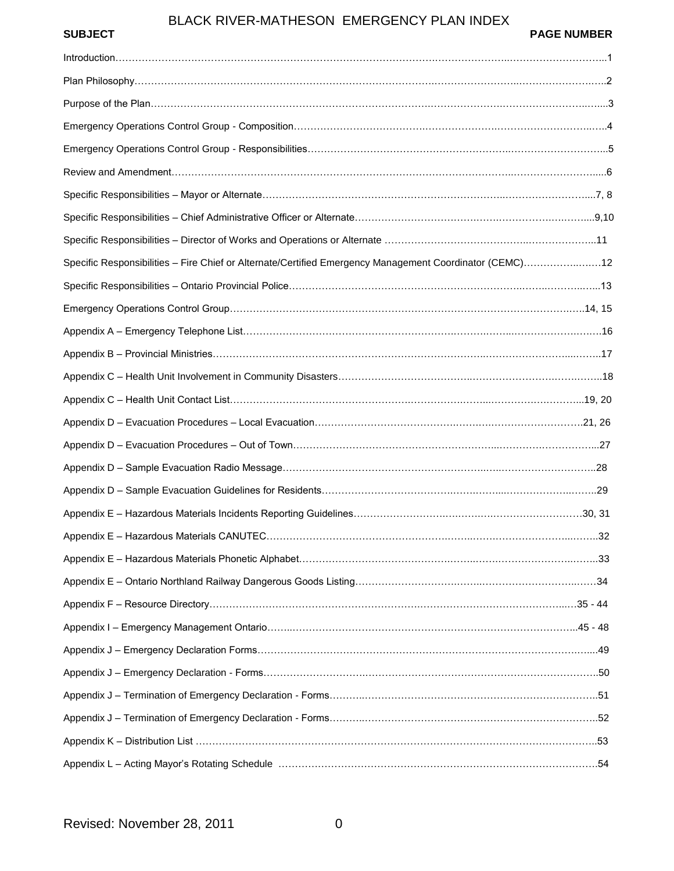| <b>SUBJECT</b> | <b>PAGE NUMBER</b> |
|----------------|--------------------|
|                |                    |

| Specific Responsibilities - Fire Chief or Alternate/Certified Emergency Management Coordinator (CEMC)12 |  |
|---------------------------------------------------------------------------------------------------------|--|
|                                                                                                         |  |
|                                                                                                         |  |
|                                                                                                         |  |
|                                                                                                         |  |
|                                                                                                         |  |
|                                                                                                         |  |
|                                                                                                         |  |
|                                                                                                         |  |
|                                                                                                         |  |
|                                                                                                         |  |
|                                                                                                         |  |
|                                                                                                         |  |
|                                                                                                         |  |
|                                                                                                         |  |
|                                                                                                         |  |
|                                                                                                         |  |
|                                                                                                         |  |
|                                                                                                         |  |
|                                                                                                         |  |
|                                                                                                         |  |
|                                                                                                         |  |
|                                                                                                         |  |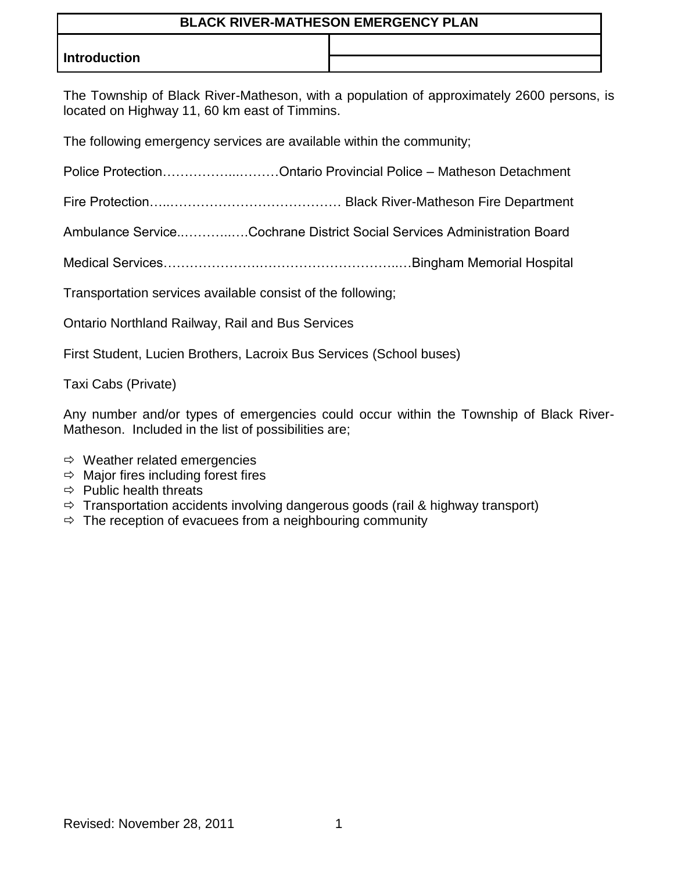## **Introduction**

The Township of Black River-Matheson, with a population of approximately 2600 persons, is located on Highway 11, 60 km east of Timmins.

The following emergency services are available within the community;

Police Protection……………...………Ontario Provincial Police – Matheson Detachment

Fire Protection…..………………………………… Black River-Matheson Fire Department

Ambulance Service..………..….Cochrane District Social Services Administration Board

Medical Services………………….…………………………..…Bingham Memorial Hospital

Transportation services available consist of the following;

Ontario Northland Railway, Rail and Bus Services

First Student, Lucien Brothers, Lacroix Bus Services (School buses)

Taxi Cabs (Private)

Any number and/or types of emergencies could occur within the Township of Black River-Matheson. Included in the list of possibilities are;

- $\Rightarrow$  Weather related emergencies
- $\Rightarrow$  Major fires including forest fires
- $\Rightarrow$  Public health threats
- $\Rightarrow$  Transportation accidents involving dangerous goods (rail & highway transport)
- $\Rightarrow$  The reception of evacuees from a neighbouring community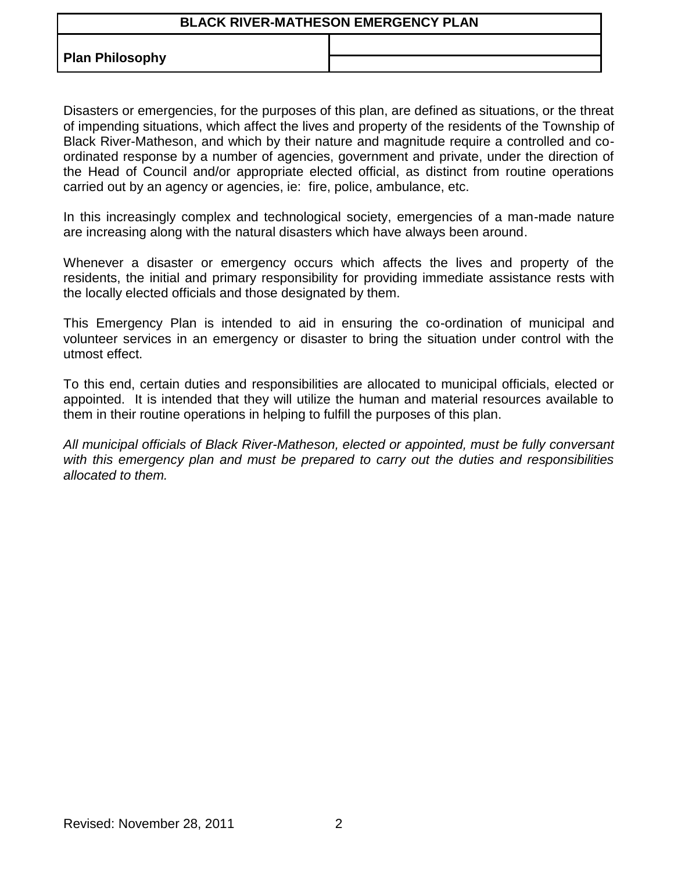**Plan Philosophy**

Disasters or emergencies, for the purposes of this plan, are defined as situations, or the threat of impending situations, which affect the lives and property of the residents of the Township of Black River-Matheson, and which by their nature and magnitude require a controlled and coordinated response by a number of agencies, government and private, under the direction of the Head of Council and/or appropriate elected official, as distinct from routine operations carried out by an agency or agencies, ie: fire, police, ambulance, etc.

In this increasingly complex and technological society, emergencies of a man-made nature are increasing along with the natural disasters which have always been around.

Whenever a disaster or emergency occurs which affects the lives and property of the residents, the initial and primary responsibility for providing immediate assistance rests with the locally elected officials and those designated by them.

This Emergency Plan is intended to aid in ensuring the co-ordination of municipal and volunteer services in an emergency or disaster to bring the situation under control with the utmost effect.

To this end, certain duties and responsibilities are allocated to municipal officials, elected or appointed. It is intended that they will utilize the human and material resources available to them in their routine operations in helping to fulfill the purposes of this plan.

*All municipal officials of Black River-Matheson, elected or appointed, must be fully conversant with this emergency plan and must be prepared to carry out the duties and responsibilities allocated to them.*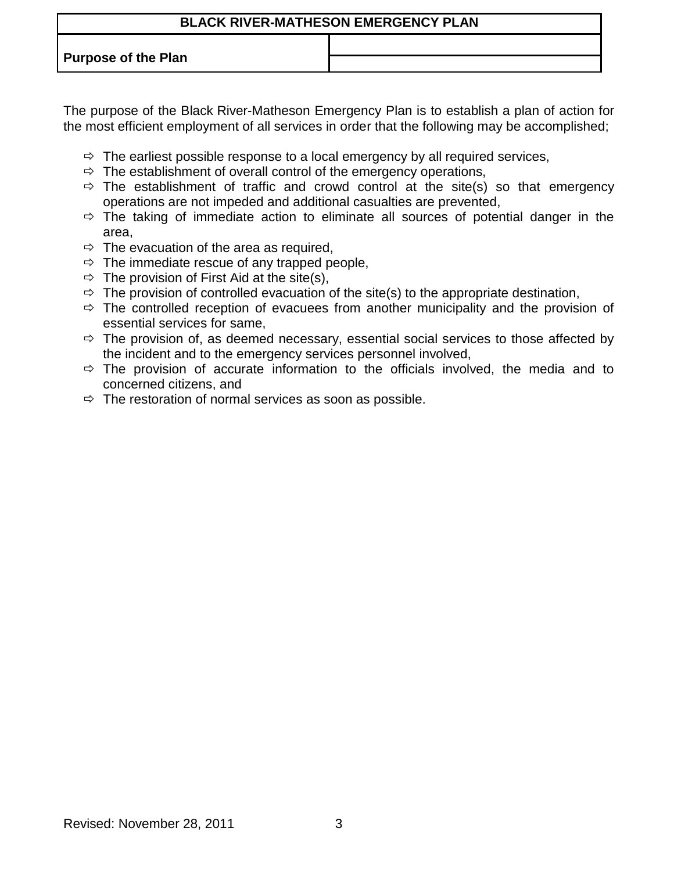**Purpose of the Plan**

The purpose of the Black River-Matheson Emergency Plan is to establish a plan of action for the most efficient employment of all services in order that the following may be accomplished;

- $\Rightarrow$  The earliest possible response to a local emergency by all required services,
- $\Rightarrow$  The establishment of overall control of the emergency operations,
- $\Rightarrow$  The establishment of traffic and crowd control at the site(s) so that emergency operations are not impeded and additional casualties are prevented,
- $\Rightarrow$  The taking of immediate action to eliminate all sources of potential danger in the area,
- $\Rightarrow$  The evacuation of the area as required,
- $\Rightarrow$  The immediate rescue of any trapped people,
- $\Rightarrow$  The provision of First Aid at the site(s),
- $\Rightarrow$  The provision of controlled evacuation of the site(s) to the appropriate destination,
- $\Rightarrow$  The controlled reception of evacuees from another municipality and the provision of essential services for same,
- $\Rightarrow$  The provision of, as deemed necessary, essential social services to those affected by the incident and to the emergency services personnel involved,
- $\Rightarrow$  The provision of accurate information to the officials involved, the media and to concerned citizens, and
- $\Rightarrow$  The restoration of normal services as soon as possible.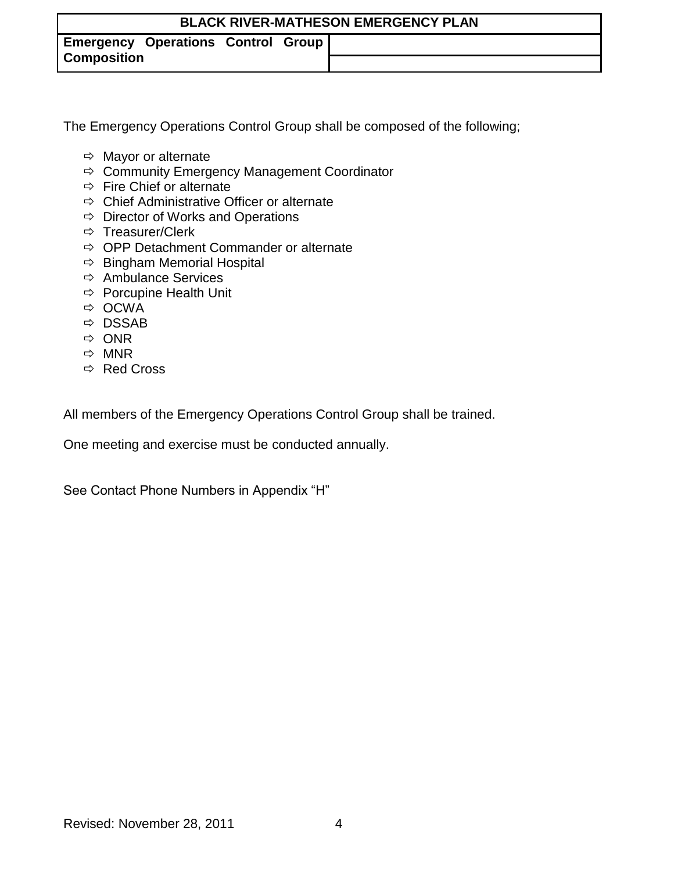**Emergency Operations Control Group Composition**

The Emergency Operations Control Group shall be composed of the following;

- $\Rightarrow$  Mayor or alternate
- $\Rightarrow$  Community Emergency Management Coordinator
- $\Rightarrow$  Fire Chief or alternate
- $\Rightarrow$  Chief Administrative Officer or alternate
- $\Rightarrow$  Director of Works and Operations
- $\Rightarrow$  Treasurer/Clerk
- $\Rightarrow$  OPP Detachment Commander or alternate
- $\Rightarrow$  Bingham Memorial Hospital
- $\Rightarrow$  Ambulance Services
- $\Rightarrow$  Porcupine Health Unit
- $\Rightarrow$  OCWA
- $\Rightarrow$  DSSAB
- $\Rightarrow$  ONR
- $\Rightarrow$  MNR
- $\Rightarrow$  Red Cross

All members of the Emergency Operations Control Group shall be trained.

One meeting and exercise must be conducted annually.

See Contact Phone Numbers in Appendix "H"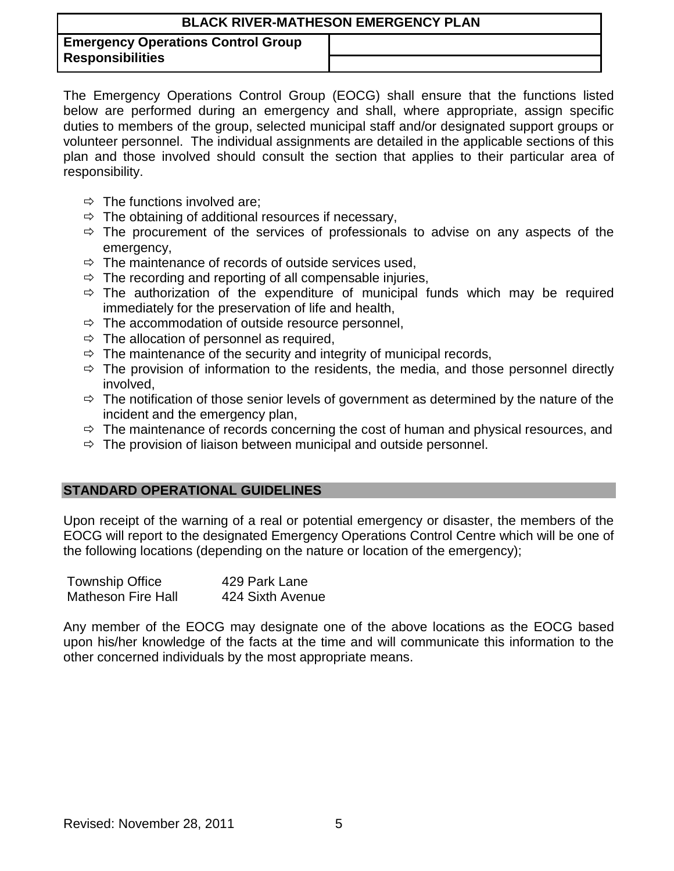**Emergency Operations Control Group Responsibilities**

The Emergency Operations Control Group (EOCG) shall ensure that the functions listed below are performed during an emergency and shall, where appropriate, assign specific duties to members of the group, selected municipal staff and/or designated support groups or volunteer personnel. The individual assignments are detailed in the applicable sections of this plan and those involved should consult the section that applies to their particular area of responsibility.

- $\Rightarrow$  The functions involved are;
- $\Rightarrow$  The obtaining of additional resources if necessary,
- $\Rightarrow$  The procurement of the services of professionals to advise on any aspects of the emergency,
- $\Rightarrow$  The maintenance of records of outside services used,
- $\Rightarrow$  The recording and reporting of all compensable injuries,
- $\Rightarrow$  The authorization of the expenditure of municipal funds which may be required immediately for the preservation of life and health,
- $\Rightarrow$  The accommodation of outside resource personnel,
- $\Rightarrow$  The allocation of personnel as required,
- $\Rightarrow$  The maintenance of the security and integrity of municipal records,
- $\Rightarrow$  The provision of information to the residents, the media, and those personnel directly involved,
- $\Rightarrow$  The notification of those senior levels of government as determined by the nature of the incident and the emergency plan,
- $\Rightarrow$  The maintenance of records concerning the cost of human and physical resources, and
- $\Rightarrow$  The provision of liaison between municipal and outside personnel.

## **STANDARD OPERATIONAL GUIDELINES**

Upon receipt of the warning of a real or potential emergency or disaster, the members of the EOCG will report to the designated Emergency Operations Control Centre which will be one of the following locations (depending on the nature or location of the emergency);

| <b>Township Office</b>    | 429 Park Lane    |
|---------------------------|------------------|
| <b>Matheson Fire Hall</b> | 424 Sixth Avenue |

Any member of the EOCG may designate one of the above locations as the EOCG based upon his/her knowledge of the facts at the time and will communicate this information to the other concerned individuals by the most appropriate means.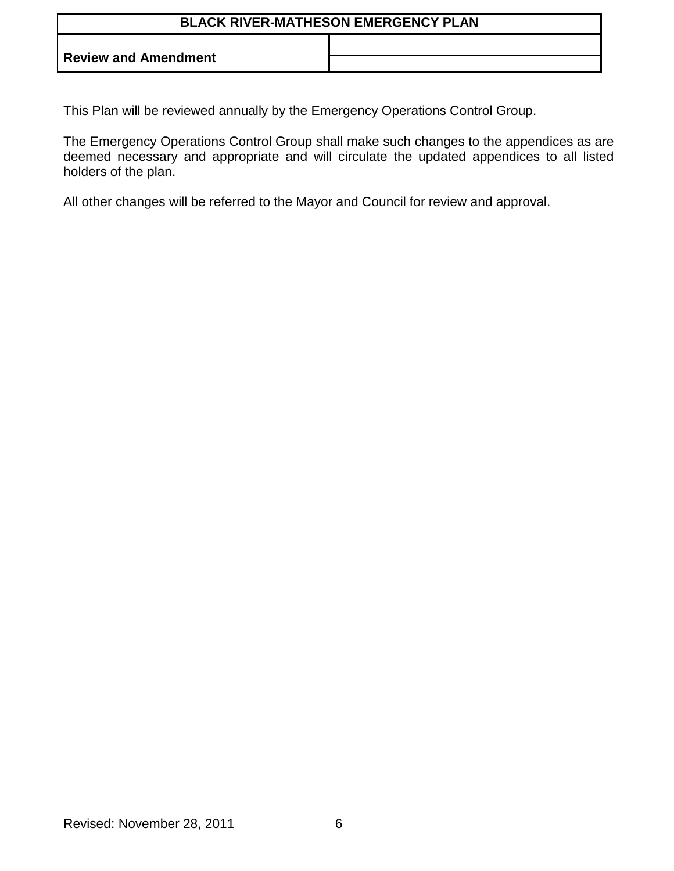**Review and Amendment**

This Plan will be reviewed annually by the Emergency Operations Control Group.

The Emergency Operations Control Group shall make such changes to the appendices as are deemed necessary and appropriate and will circulate the updated appendices to all listed holders of the plan.

All other changes will be referred to the Mayor and Council for review and approval.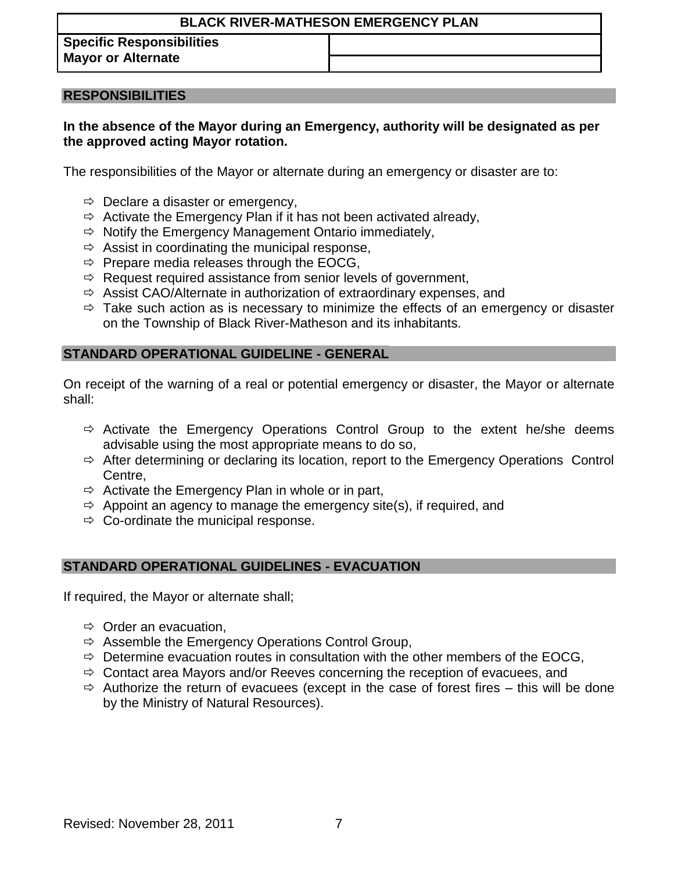**Specific Responsibilities Mayor or Alternate**

### **RESPONSIBILITIES**

## **In the absence of the Mayor during an Emergency, authority will be designated as per the approved acting Mayor rotation.**

The responsibilities of the Mayor or alternate during an emergency or disaster are to:

- $\Rightarrow$  Declare a disaster or emergency,
- $\Rightarrow$  Activate the Emergency Plan if it has not been activated already,
- $\Rightarrow$  Notify the Emergency Management Ontario immediately,
- $\Rightarrow$  Assist in coordinating the municipal response,
- $\Rightarrow$  Prepare media releases through the EOCG,
- $\Rightarrow$  Request required assistance from senior levels of government,
- $\Rightarrow$  Assist CAO/Alternate in authorization of extraordinary expenses, and
- $\Rightarrow$  Take such action as is necessary to minimize the effects of an emergency or disaster on the Township of Black River-Matheson and its inhabitants.

### **STANDARD OPERATIONAL GUIDELINE - GENERAL**

On receipt of the warning of a real or potential emergency or disaster, the Mayor or alternate shall:

- $\Rightarrow$  Activate the Emergency Operations Control Group to the extent he/she deems advisable using the most appropriate means to do so,
- $\Rightarrow$  After determining or declaring its location, report to the Emergency Operations Control Centre,
- $\Rightarrow$  Activate the Emergency Plan in whole or in part,
- $\Rightarrow$  Appoint an agency to manage the emergency site(s), if required, and
- $\Rightarrow$  Co-ordinate the municipal response.

### **STANDARD OPERATIONAL GUIDELINES - EVACUATION**

If required, the Mayor or alternate shall;

- $\Rightarrow$  Order an evacuation,
- $\Rightarrow$  Assemble the Emergency Operations Control Group,
- $\Rightarrow$  Determine evacuation routes in consultation with the other members of the EOCG,
- $\Rightarrow$  Contact area Mayors and/or Reeves concerning the reception of evacuees, and
- $\Rightarrow$  Authorize the return of evacuees (except in the case of forest fires this will be done by the Ministry of Natural Resources).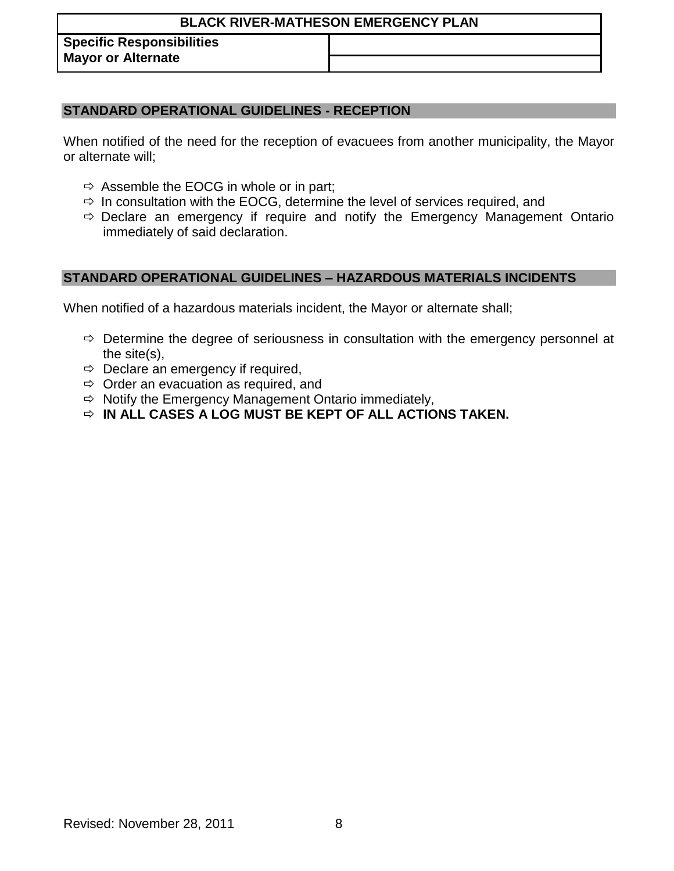**Specific Responsibilities Mayor or Alternate**

## **STANDARD OPERATIONAL GUIDELINES - RECEPTION**

When notified of the need for the reception of evacuees from another municipality, the Mayor or alternate will;

- $\Rightarrow$  Assemble the EOCG in whole or in part;
- $\Rightarrow$  In consultation with the EOCG, determine the level of services required, and
- $\Rightarrow$  Declare an emergency if require and notify the Emergency Management Ontario immediately of said declaration.

## **STANDARD OPERATIONAL GUIDELINES – HAZARDOUS MATERIALS INCIDENTS**

When notified of a hazardous materials incident, the Mayor or alternate shall;

- $\Rightarrow$  Determine the degree of seriousness in consultation with the emergency personnel at the site(s),
- $\Rightarrow$  Declare an emergency if required,
- $\Rightarrow$  Order an evacuation as required, and
- $\Rightarrow$  Notify the Emergency Management Ontario immediately,
- **IN ALL CASES A LOG MUST BE KEPT OF ALL ACTIONS TAKEN.**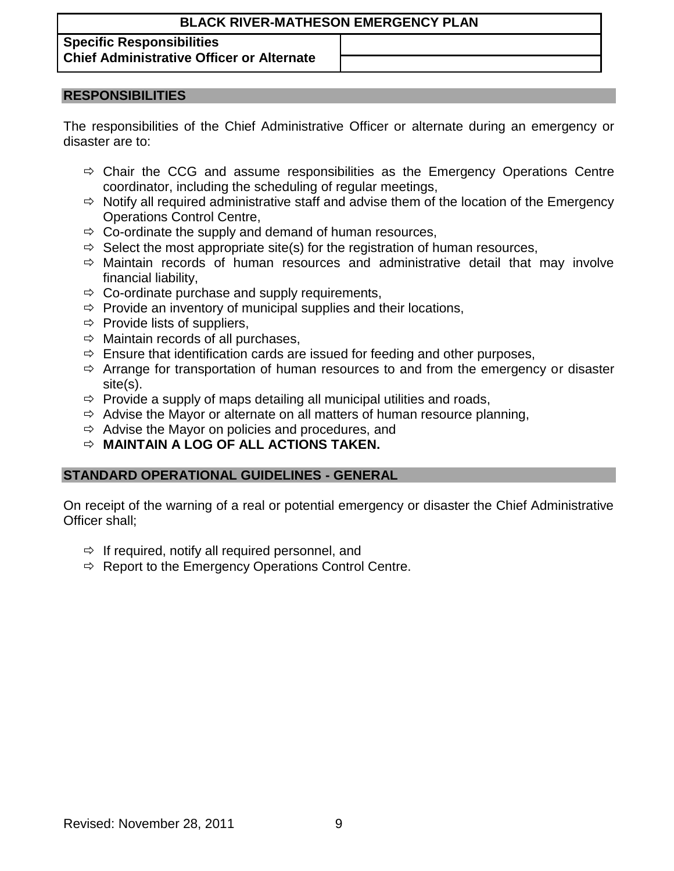## **Specific Responsibilities Chief Administrative Officer or Alternate**

#### **RESPONSIBILITIES**

The responsibilities of the Chief Administrative Officer or alternate during an emergency or disaster are to:

- $\Rightarrow$  Chair the CCG and assume responsibilities as the Emergency Operations Centre coordinator, including the scheduling of regular meetings,
- $\Rightarrow$  Notify all required administrative staff and advise them of the location of the Emergency Operations Control Centre,
- $\Rightarrow$  Co-ordinate the supply and demand of human resources,
- $\Rightarrow$  Select the most appropriate site(s) for the registration of human resources,
- $\Rightarrow$  Maintain records of human resources and administrative detail that may involve financial liability,
- $\Rightarrow$  Co-ordinate purchase and supply requirements,
- $\Rightarrow$  Provide an inventory of municipal supplies and their locations,
- $\Rightarrow$  Provide lists of suppliers,
- $\Rightarrow$  Maintain records of all purchases,
- $\Rightarrow$  Ensure that identification cards are issued for feeding and other purposes,
- $\Rightarrow$  Arrange for transportation of human resources to and from the emergency or disaster site(s).
- $\Rightarrow$  Provide a supply of maps detailing all municipal utilities and roads,
- $\Rightarrow$  Advise the Mayor or alternate on all matters of human resource planning,
- $\Rightarrow$  Advise the Mayor on policies and procedures, and
- **MAINTAIN A LOG OF ALL ACTIONS TAKEN.**

### **STANDARD OPERATIONAL GUIDELINES - GENERAL**

On receipt of the warning of a real or potential emergency or disaster the Chief Administrative Officer shall;

- $\Rightarrow$  If required, notify all required personnel, and
- $\Rightarrow$  Report to the Emergency Operations Control Centre.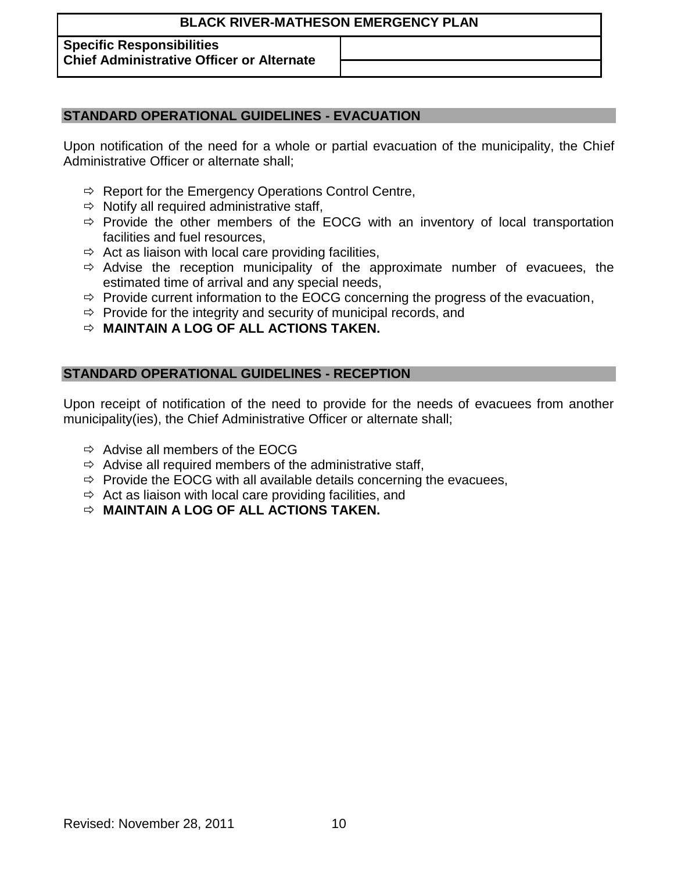## **Specific Responsibilities**

**Chief Administrative Officer or Alternate**

## **STANDARD OPERATIONAL GUIDELINES - EVACUATION**

Upon notification of the need for a whole or partial evacuation of the municipality, the Chief Administrative Officer or alternate shall;

- $\Rightarrow$  Report for the Emergency Operations Control Centre,
- $\Rightarrow$  Notify all required administrative staff,
- $\Rightarrow$  Provide the other members of the EOCG with an inventory of local transportation facilities and fuel resources,
- $\Rightarrow$  Act as liaison with local care providing facilities,
- $\Rightarrow$  Advise the reception municipality of the approximate number of evacuees, the estimated time of arrival and any special needs,
- $\Rightarrow$  Provide current information to the EOCG concerning the progress of the evacuation,
- $\Rightarrow$  Provide for the integrity and security of municipal records, and
- **MAINTAIN A LOG OF ALL ACTIONS TAKEN.**

## **STANDARD OPERATIONAL GUIDELINES - RECEPTION**

Upon receipt of notification of the need to provide for the needs of evacuees from another municipality(ies), the Chief Administrative Officer or alternate shall;

- $\Rightarrow$  Advise all members of the EOCG
- $\Rightarrow$  Advise all required members of the administrative staff,
- $\Rightarrow$  Provide the EOCG with all available details concerning the evacuees,
- $\Rightarrow$  Act as liaison with local care providing facilities, and
- **MAINTAIN A LOG OF ALL ACTIONS TAKEN.**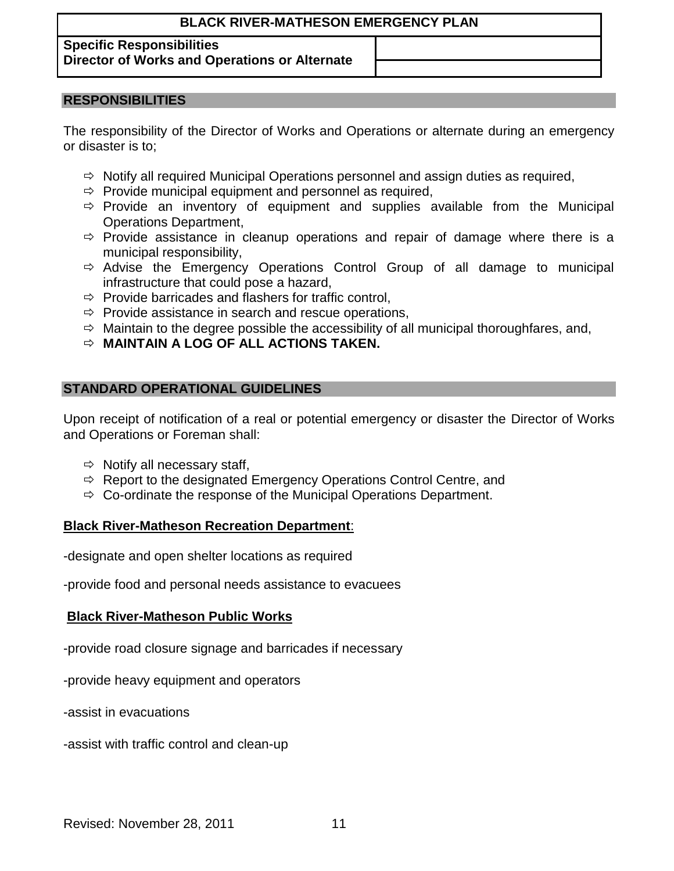## **Specific Responsibilities**

**Director of Works and Operations or Alternate**

# **RESPONSIBILITIES**

The responsibility of the Director of Works and Operations or alternate during an emergency or disaster is to;

- $\Rightarrow$  Notify all required Municipal Operations personnel and assign duties as required,
- $\Rightarrow$  Provide municipal equipment and personnel as required,
- $\Rightarrow$  Provide an inventory of equipment and supplies available from the Municipal Operations Department,
- $\Rightarrow$  Provide assistance in cleanup operations and repair of damage where there is a municipal responsibility,
- $\Rightarrow$  Advise the Emergency Operations Control Group of all damage to municipal infrastructure that could pose a hazard,
- $\Rightarrow$  Provide barricades and flashers for traffic control,
- $\Rightarrow$  Provide assistance in search and rescue operations,
- $\Rightarrow$  Maintain to the degree possible the accessibility of all municipal thoroughfares, and,
- **MAINTAIN A LOG OF ALL ACTIONS TAKEN.**

# **STANDARD OPERATIONAL GUIDELINES**

Upon receipt of notification of a real or potential emergency or disaster the Director of Works and Operations or Foreman shall:

- $\Rightarrow$  Notify all necessary staff,
- $\Rightarrow$  Report to the designated Emergency Operations Control Centre, and
- $\Rightarrow$  Co-ordinate the response of the Municipal Operations Department.

# **Black River-Matheson Recreation Department**:

-designate and open shelter locations as required

-provide food and personal needs assistance to evacuees

# **Black River-Matheson Public Works**

-provide road closure signage and barricades if necessary

-provide heavy equipment and operators

-assist in evacuations

-assist with traffic control and clean-up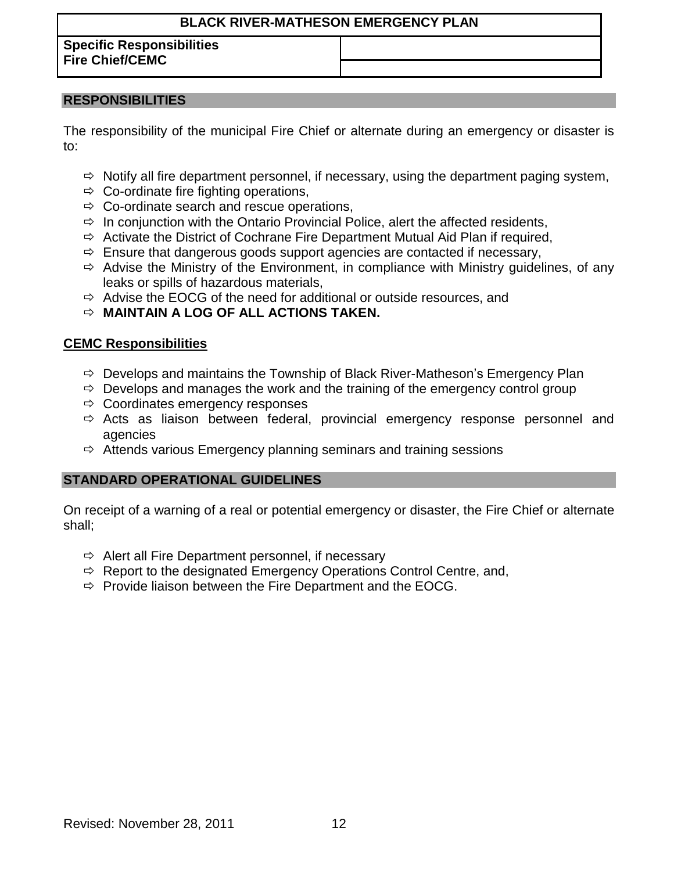**Specific Responsibilities Fire Chief/CEMC**

## **RESPONSIBILITIES**

The responsibility of the municipal Fire Chief or alternate during an emergency or disaster is to:

- $\Rightarrow$  Notify all fire department personnel, if necessary, using the department paging system,
- $\Rightarrow$  Co-ordinate fire fighting operations,
- $\Rightarrow$  Co-ordinate search and rescue operations,
- $\Rightarrow$  In conjunction with the Ontario Provincial Police, alert the affected residents,
- $\Rightarrow$  Activate the District of Cochrane Fire Department Mutual Aid Plan if required,
- $\Rightarrow$  Ensure that dangerous goods support agencies are contacted if necessary,
- $\Rightarrow$  Advise the Ministry of the Environment, in compliance with Ministry quidelines, of any leaks or spills of hazardous materials,
- $\Rightarrow$  Advise the EOCG of the need for additional or outside resources, and
- **MAINTAIN A LOG OF ALL ACTIONS TAKEN.**

## **CEMC Responsibilities**

- $\Rightarrow$  Develops and maintains the Township of Black River-Matheson's Emergency Plan
- $\Rightarrow$  Develops and manages the work and the training of the emergency control group
- $\Rightarrow$  Coordinates emergency responses
- $\Rightarrow$  Acts as liaison between federal, provincial emergency response personnel and agencies
- $\Rightarrow$  Attends various Emergency planning seminars and training sessions

## **STANDARD OPERATIONAL GUIDELINES**

On receipt of a warning of a real or potential emergency or disaster, the Fire Chief or alternate shall;

- $\Rightarrow$  Alert all Fire Department personnel, if necessary
- $\Rightarrow$  Report to the designated Emergency Operations Control Centre, and,
- $\Rightarrow$  Provide liaison between the Fire Department and the EOCG.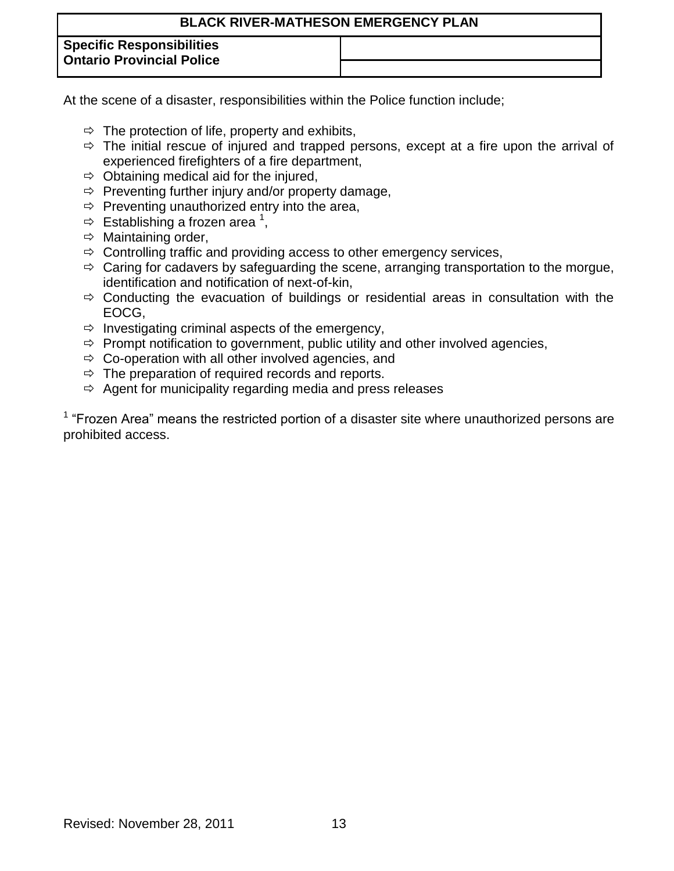| <b>BLACK RIVER-MATHESON EMERGENCY PLAN</b>                           |  |  |  |
|----------------------------------------------------------------------|--|--|--|
| <b>Specific Responsibilities</b><br><b>Ontario Provincial Police</b> |  |  |  |
|                                                                      |  |  |  |

At the scene of a disaster, responsibilities within the Police function include;

- $\Rightarrow$  The protection of life, property and exhibits,
- $\Rightarrow$  The initial rescue of injured and trapped persons, except at a fire upon the arrival of experienced firefighters of a fire department,
- $\Rightarrow$  Obtaining medical aid for the injured,
- $\Rightarrow$  Preventing further injury and/or property damage,
- $\Rightarrow$  Preventing unauthorized entry into the area,
- $\Rightarrow$  Establishing a frozen area <sup>1</sup>,
- $\Rightarrow$  Maintaining order,
- $\Rightarrow$  Controlling traffic and providing access to other emergency services,
- $\Rightarrow$  Caring for cadavers by safeguarding the scene, arranging transportation to the morgue, identification and notification of next-of-kin,
- $\Rightarrow$  Conducting the evacuation of buildings or residential areas in consultation with the EOCG,
- $\Rightarrow$  Investigating criminal aspects of the emergency,
- $\Rightarrow$  Prompt notification to government, public utility and other involved agencies,
- $\Rightarrow$  Co-operation with all other involved agencies, and
- $\Rightarrow$  The preparation of required records and reports.
- $\Rightarrow$  Agent for municipality regarding media and press releases

 $1$  "Frozen Area" means the restricted portion of a disaster site where unauthorized persons are prohibited access.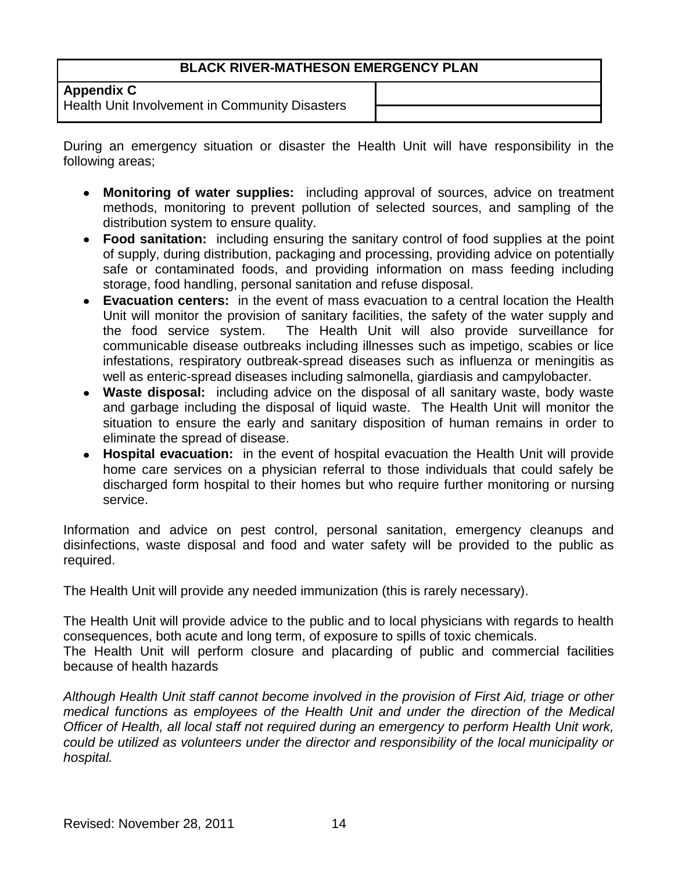**Appendix C**

Health Unit Involvement in Community Disasters

During an emergency situation or disaster the Health Unit will have responsibility in the following areas;

- **Monitoring of water supplies:** including approval of sources, advice on treatment methods, monitoring to prevent pollution of selected sources, and sampling of the distribution system to ensure quality.
- **Food sanitation:** including ensuring the sanitary control of food supplies at the point of supply, during distribution, packaging and processing, providing advice on potentially safe or contaminated foods, and providing information on mass feeding including storage, food handling, personal sanitation and refuse disposal.
- **Evacuation centers:** in the event of mass evacuation to a central location the Health Unit will monitor the provision of sanitary facilities, the safety of the water supply and the food service system. The Health Unit will also provide surveillance for communicable disease outbreaks including illnesses such as impetigo, scabies or lice infestations, respiratory outbreak-spread diseases such as influenza or meningitis as well as enteric-spread diseases including salmonella, giardiasis and campylobacter.
- **Waste disposal:** including advice on the disposal of all sanitary waste, body waste and garbage including the disposal of liquid waste. The Health Unit will monitor the situation to ensure the early and sanitary disposition of human remains in order to eliminate the spread of disease.
- **Hospital evacuation:** in the event of hospital evacuation the Health Unit will provide home care services on a physician referral to those individuals that could safely be discharged form hospital to their homes but who require further monitoring or nursing service.

Information and advice on pest control, personal sanitation, emergency cleanups and disinfections, waste disposal and food and water safety will be provided to the public as required.

The Health Unit will provide any needed immunization (this is rarely necessary).

The Health Unit will provide advice to the public and to local physicians with regards to health consequences, both acute and long term, of exposure to spills of toxic chemicals.

The Health Unit will perform closure and placarding of public and commercial facilities because of health hazards

*Although Health Unit staff cannot become involved in the provision of First Aid, triage or other medical functions as employees of the Health Unit and under the direction of the Medical Officer of Health, all local staff not required during an emergency to perform Health Unit work, could be utilized as volunteers under the director and responsibility of the local municipality or hospital.*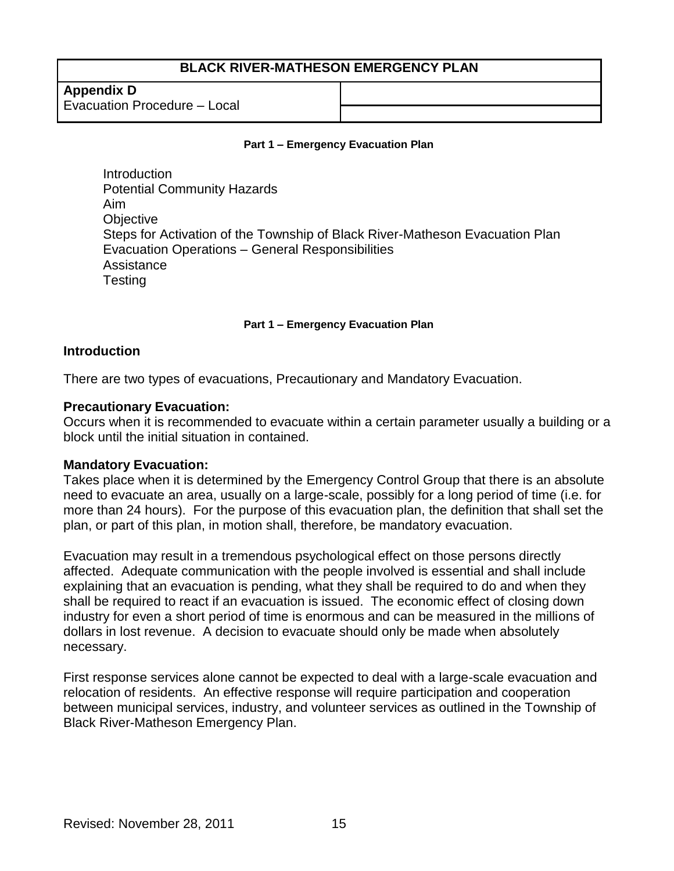**Appendix D** Evacuation Procedure – Local

#### **Part 1 – Emergency Evacuation Plan**

Introduction Potential Community Hazards Aim **Objective** Steps for Activation of the Township of Black River-Matheson Evacuation Plan Evacuation Operations – General Responsibilities Assistance **Testing** 

#### **Part 1 – Emergency Evacuation Plan**

#### **Introduction**

There are two types of evacuations, Precautionary and Mandatory Evacuation.

#### **Precautionary Evacuation:**

Occurs when it is recommended to evacuate within a certain parameter usually a building or a block until the initial situation in contained.

#### **Mandatory Evacuation:**

Takes place when it is determined by the Emergency Control Group that there is an absolute need to evacuate an area, usually on a large-scale, possibly for a long period of time (i.e. for more than 24 hours). For the purpose of this evacuation plan, the definition that shall set the plan, or part of this plan, in motion shall, therefore, be mandatory evacuation.

Evacuation may result in a tremendous psychological effect on those persons directly affected. Adequate communication with the people involved is essential and shall include explaining that an evacuation is pending, what they shall be required to do and when they shall be required to react if an evacuation is issued. The economic effect of closing down industry for even a short period of time is enormous and can be measured in the millions of dollars in lost revenue. A decision to evacuate should only be made when absolutely necessary.

First response services alone cannot be expected to deal with a large-scale evacuation and relocation of residents. An effective response will require participation and cooperation between municipal services, industry, and volunteer services as outlined in the Township of Black River-Matheson Emergency Plan.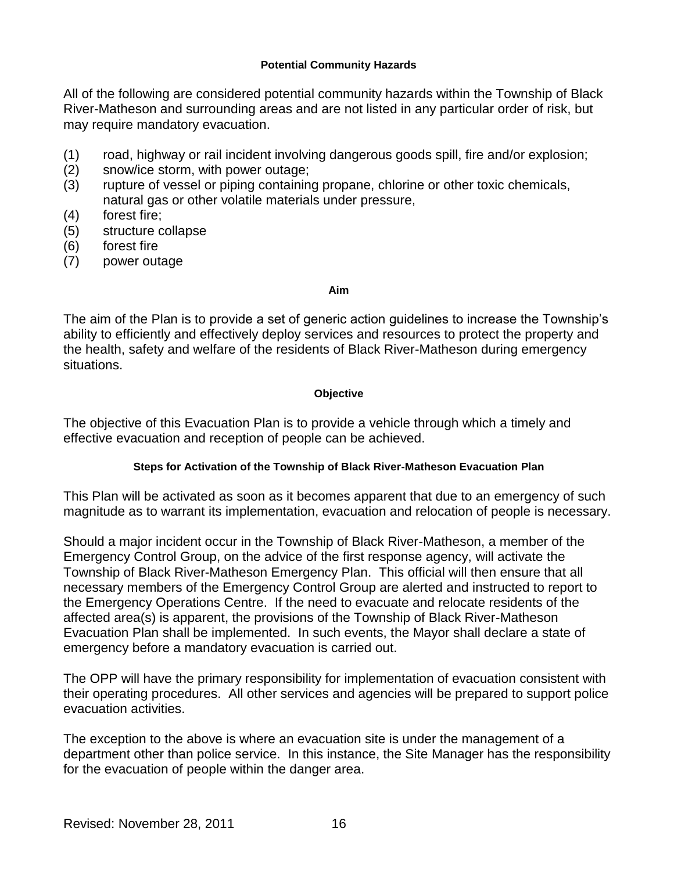#### **Potential Community Hazards**

All of the following are considered potential community hazards within the Township of Black River-Matheson and surrounding areas and are not listed in any particular order of risk, but may require mandatory evacuation.

- (1) road, highway or rail incident involving dangerous goods spill, fire and/or explosion;
- (2) snow/ice storm, with power outage;
- (3) rupture of vessel or piping containing propane, chlorine or other toxic chemicals, natural gas or other volatile materials under pressure,
- (4) forest fire;
- (5) structure collapse
- (6) forest fire
- (7) power outage

#### **Aim**

The aim of the Plan is to provide a set of generic action guidelines to increase the Township's ability to efficiently and effectively deploy services and resources to protect the property and the health, safety and welfare of the residents of Black River-Matheson during emergency situations.

## **Objective**

The objective of this Evacuation Plan is to provide a vehicle through which a timely and effective evacuation and reception of people can be achieved.

### **Steps for Activation of the Township of Black River-Matheson Evacuation Plan**

This Plan will be activated as soon as it becomes apparent that due to an emergency of such magnitude as to warrant its implementation, evacuation and relocation of people is necessary.

Should a major incident occur in the Township of Black River-Matheson, a member of the Emergency Control Group, on the advice of the first response agency, will activate the Township of Black River-Matheson Emergency Plan. This official will then ensure that all necessary members of the Emergency Control Group are alerted and instructed to report to the Emergency Operations Centre. If the need to evacuate and relocate residents of the affected area(s) is apparent, the provisions of the Township of Black River-Matheson Evacuation Plan shall be implemented. In such events, the Mayor shall declare a state of emergency before a mandatory evacuation is carried out.

The OPP will have the primary responsibility for implementation of evacuation consistent with their operating procedures. All other services and agencies will be prepared to support police evacuation activities.

The exception to the above is where an evacuation site is under the management of a department other than police service. In this instance, the Site Manager has the responsibility for the evacuation of people within the danger area.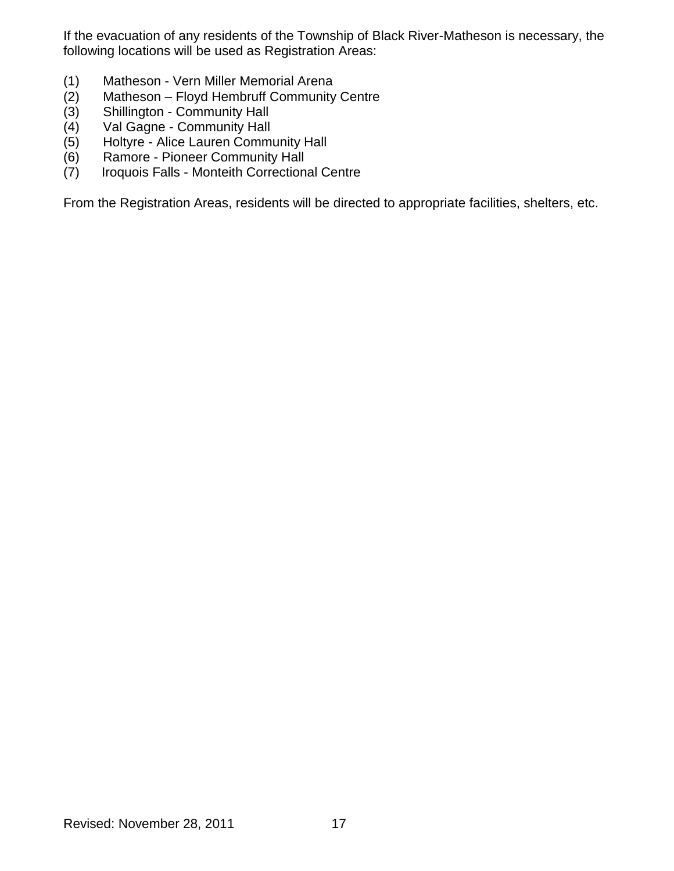If the evacuation of any residents of the Township of Black River-Matheson is necessary, the following locations will be used as Registration Areas:

- (1) Matheson Vern Miller Memorial Arena
- (2) Matheson Floyd Hembruff Community Centre
- (3) Shillington Community Hall<br>(4) Val Gagne Community Hall
- Val Gagne Community Hall
- (5) Holtyre Alice Lauren Community Hall
- (6) Ramore Pioneer Community Hall
- (7) Iroquois Falls Monteith Correctional Centre

From the Registration Areas, residents will be directed to appropriate facilities, shelters, etc.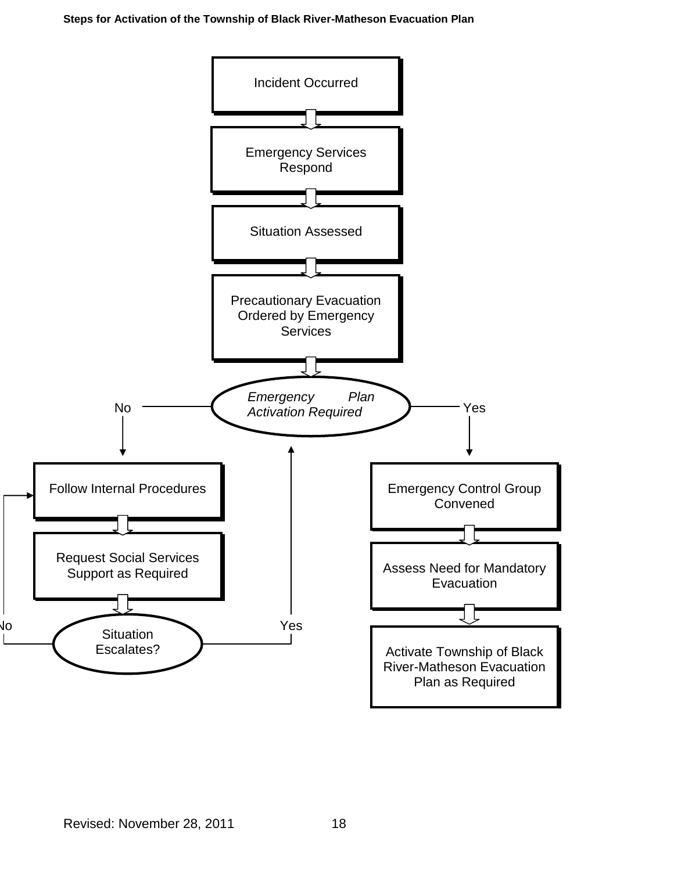**Steps for Activation of the Township of Black River-Matheson Evacuation Plan**

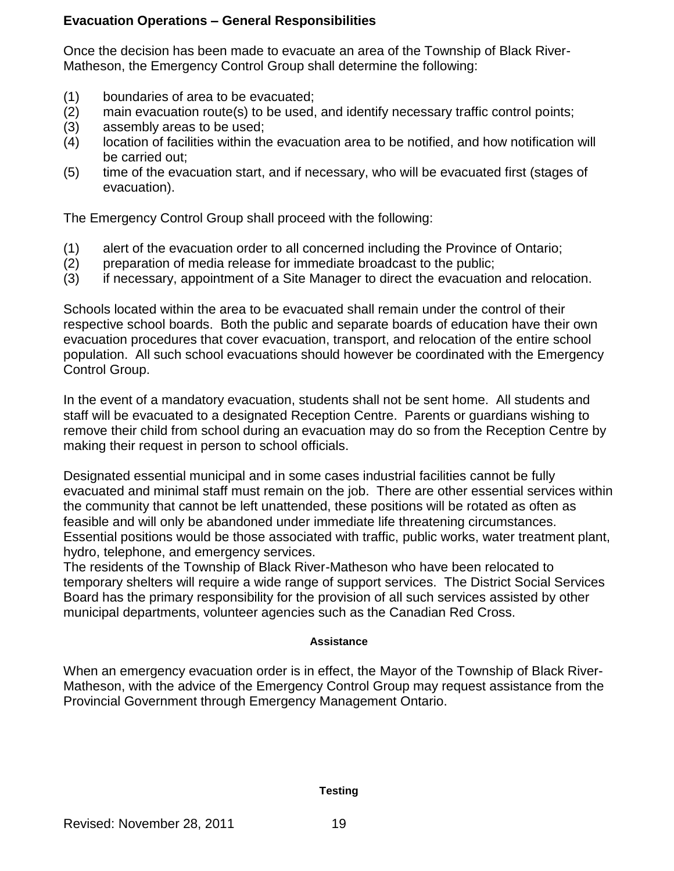## **Evacuation Operations – General Responsibilities**

Once the decision has been made to evacuate an area of the Township of Black River-Matheson, the Emergency Control Group shall determine the following:

- (1) boundaries of area to be evacuated;
- (2) main evacuation route(s) to be used, and identify necessary traffic control points;
- (3) assembly areas to be used;
- (4) location of facilities within the evacuation area to be notified, and how notification will be carried out;
- (5) time of the evacuation start, and if necessary, who will be evacuated first (stages of evacuation).

The Emergency Control Group shall proceed with the following:

- (1) alert of the evacuation order to all concerned including the Province of Ontario;
- (2) preparation of media release for immediate broadcast to the public;
- (3) if necessary, appointment of a Site Manager to direct the evacuation and relocation.

Schools located within the area to be evacuated shall remain under the control of their respective school boards. Both the public and separate boards of education have their own evacuation procedures that cover evacuation, transport, and relocation of the entire school population. All such school evacuations should however be coordinated with the Emergency Control Group.

In the event of a mandatory evacuation, students shall not be sent home. All students and staff will be evacuated to a designated Reception Centre. Parents or guardians wishing to remove their child from school during an evacuation may do so from the Reception Centre by making their request in person to school officials.

Designated essential municipal and in some cases industrial facilities cannot be fully evacuated and minimal staff must remain on the job. There are other essential services within the community that cannot be left unattended, these positions will be rotated as often as feasible and will only be abandoned under immediate life threatening circumstances. Essential positions would be those associated with traffic, public works, water treatment plant, hydro, telephone, and emergency services.

The residents of the Township of Black River-Matheson who have been relocated to temporary shelters will require a wide range of support services. The District Social Services Board has the primary responsibility for the provision of all such services assisted by other municipal departments, volunteer agencies such as the Canadian Red Cross.

### **Assistance**

When an emergency evacuation order is in effect, the Mayor of the Township of Black River-Matheson, with the advice of the Emergency Control Group may request assistance from the Provincial Government through Emergency Management Ontario.

#### **Testing**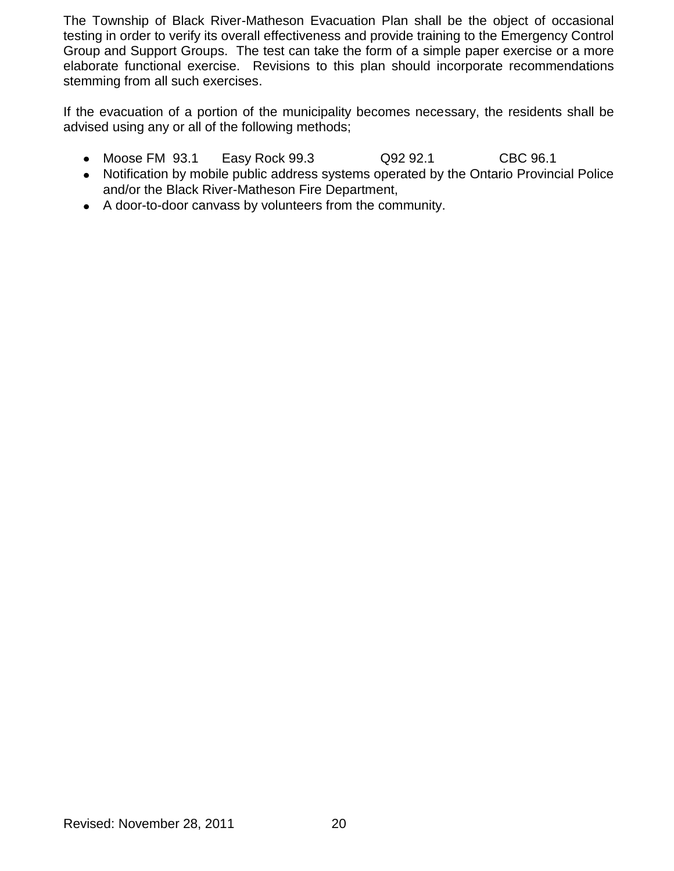The Township of Black River-Matheson Evacuation Plan shall be the object of occasional testing in order to verify its overall effectiveness and provide training to the Emergency Control Group and Support Groups. The test can take the form of a simple paper exercise or a more elaborate functional exercise. Revisions to this plan should incorporate recommendations stemming from all such exercises.

If the evacuation of a portion of the municipality becomes necessary, the residents shall be advised using any or all of the following methods;

- Moose FM 93.1 Easy Rock 99.3 Q92 92.1 CBC 96.1
- Notification by mobile public address systems operated by the Ontario Provincial Police and/or the Black River-Matheson Fire Department,
- A door-to-door canvass by volunteers from the community.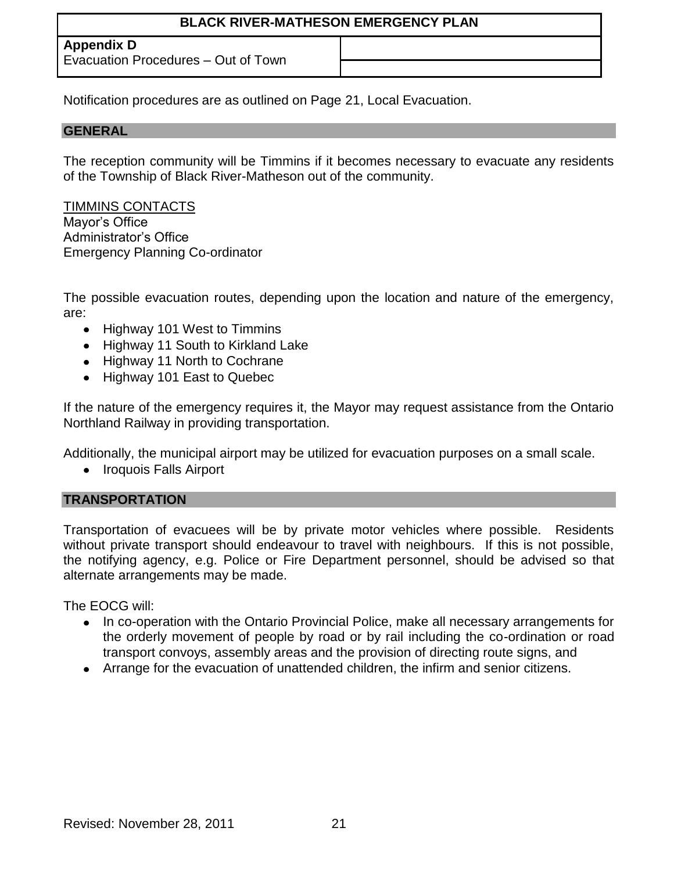**Appendix D**

Evacuation Procedures – Out of Town

Notification procedures are as outlined on Page 21, Local Evacuation.

## **GENERAL**

The reception community will be Timmins if it becomes necessary to evacuate any residents of the Township of Black River-Matheson out of the community.

TIMMINS CONTACTS Mayor's Office Administrator's Office Emergency Planning Co-ordinator

The possible evacuation routes, depending upon the location and nature of the emergency, are:

- Highway 101 West to Timmins
- Highway 11 South to Kirkland Lake
- Highway 11 North to Cochrane
- Highway 101 East to Quebec

If the nature of the emergency requires it, the Mayor may request assistance from the Ontario Northland Railway in providing transportation.

Additionally, the municipal airport may be utilized for evacuation purposes on a small scale.

• Iroquois Falls Airport

## **TRANSPORTATION**

Transportation of evacuees will be by private motor vehicles where possible. Residents without private transport should endeavour to travel with neighbours. If this is not possible, the notifying agency, e.g. Police or Fire Department personnel, should be advised so that alternate arrangements may be made.

The EOCG will:

- In co-operation with the Ontario Provincial Police, make all necessary arrangements for the orderly movement of people by road or by rail including the co-ordination or road transport convoys, assembly areas and the provision of directing route signs, and
- Arrange for the evacuation of unattended children, the infirm and senior citizens.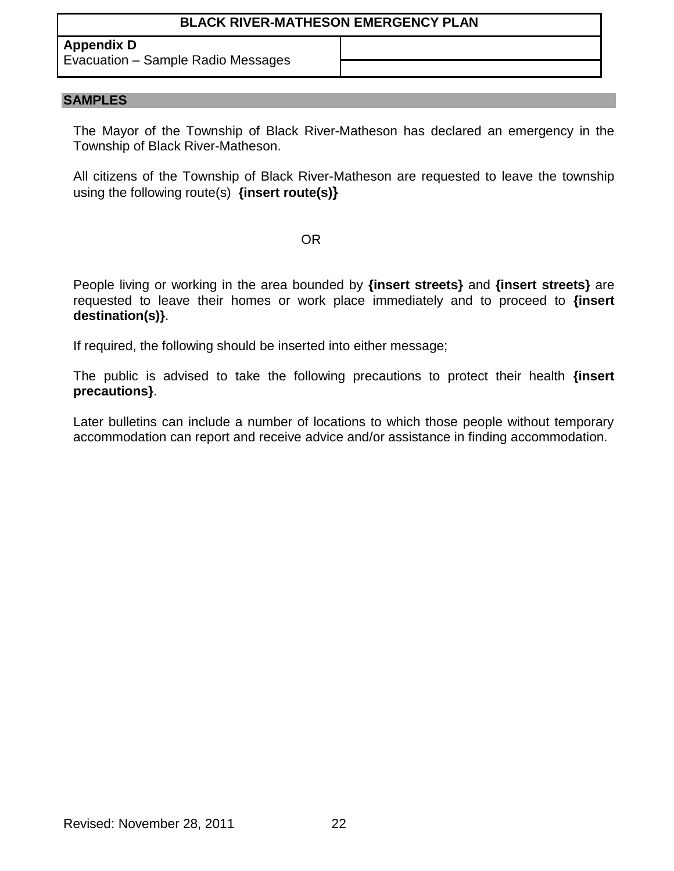## **Appendix D**

Evacuation – Sample Radio Messages

### **SAMPLES**

The Mayor of the Township of Black River-Matheson has declared an emergency in the Township of Black River-Matheson.

All citizens of the Township of Black River-Matheson are requested to leave the township using the following route(s) **{insert route(s)}**

### OR

People living or working in the area bounded by **{insert streets}** and **{insert streets}** are requested to leave their homes or work place immediately and to proceed to **{insert destination(s)}**.

If required, the following should be inserted into either message;

The public is advised to take the following precautions to protect their health **{insert precautions}**.

Later bulletins can include a number of locations to which those people without temporary accommodation can report and receive advice and/or assistance in finding accommodation.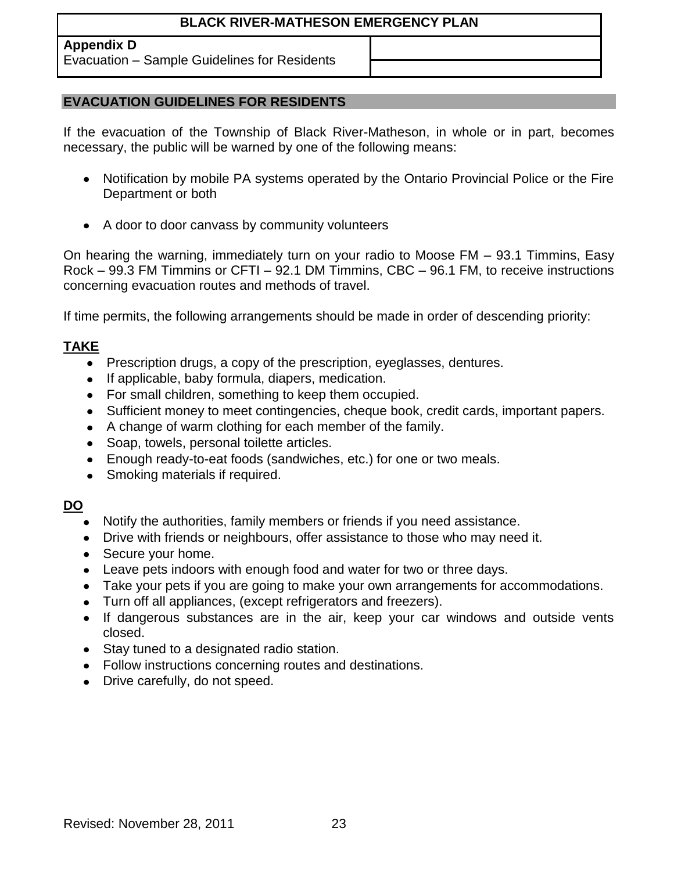## **Appendix D**

Evacuation – Sample Guidelines for Residents

## **EVACUATION GUIDELINES FOR RESIDENTS**

If the evacuation of the Township of Black River-Matheson, in whole or in part, becomes necessary, the public will be warned by one of the following means:

- Notification by mobile PA systems operated by the Ontario Provincial Police or the Fire Department or both
- A door to door canvass by community volunteers

On hearing the warning, immediately turn on your radio to Moose FM – 93.1 Timmins, Easy Rock – 99.3 FM Timmins or CFTI – 92.1 DM Timmins, CBC – 96.1 FM, to receive instructions concerning evacuation routes and methods of travel.

If time permits, the following arrangements should be made in order of descending priority:

## **TAKE**

- Prescription drugs, a copy of the prescription, eyeglasses, dentures.
- If applicable, baby formula, diapers, medication.  $\bullet$
- For small children, something to keep them occupied.  $\bullet$
- Sufficient money to meet contingencies, cheque book, credit cards, important papers.
- A change of warm clothing for each member of the family.
- Soap, towels, personal toilette articles.
- Enough ready-to-eat foods (sandwiches, etc.) for one or two meals.
- Smoking materials if required.

## **DO**

- Notify the authorities, family members or friends if you need assistance.
- Drive with friends or neighbours, offer assistance to those who may need it.
- Secure your home.
- Leave pets indoors with enough food and water for two or three days.
- Take your pets if you are going to make your own arrangements for accommodations.
- Turn off all appliances, (except refrigerators and freezers).
- If dangerous substances are in the air, keep your car windows and outside vents closed.
- Stay tuned to a designated radio station.
- Follow instructions concerning routes and destinations.
- Drive carefully, do not speed.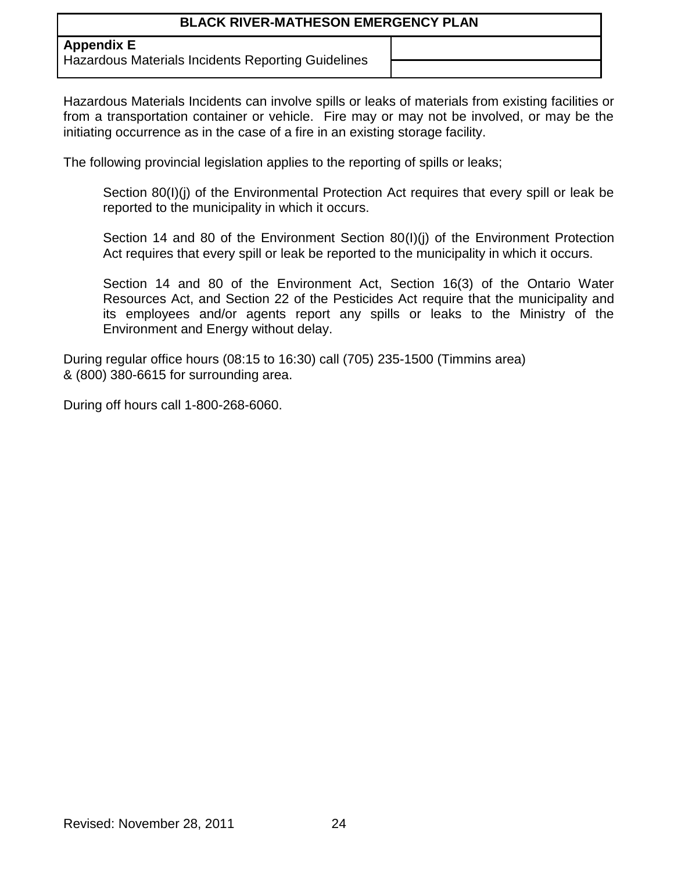**Appendix E**

Hazardous Materials Incidents Reporting Guidelines

Hazardous Materials Incidents can involve spills or leaks of materials from existing facilities or from a transportation container or vehicle. Fire may or may not be involved, or may be the initiating occurrence as in the case of a fire in an existing storage facility.

The following provincial legislation applies to the reporting of spills or leaks;

Section 80(I)(j) of the Environmental Protection Act requires that every spill or leak be reported to the municipality in which it occurs.

Section 14 and 80 of the Environment Section 80(I)(j) of the Environment Protection Act requires that every spill or leak be reported to the municipality in which it occurs.

Section 14 and 80 of the Environment Act, Section 16(3) of the Ontario Water Resources Act, and Section 22 of the Pesticides Act require that the municipality and its employees and/or agents report any spills or leaks to the Ministry of the Environment and Energy without delay.

During regular office hours (08:15 to 16:30) call (705) 235-1500 (Timmins area) & (800) 380-6615 for surrounding area.

During off hours call 1-800-268-6060.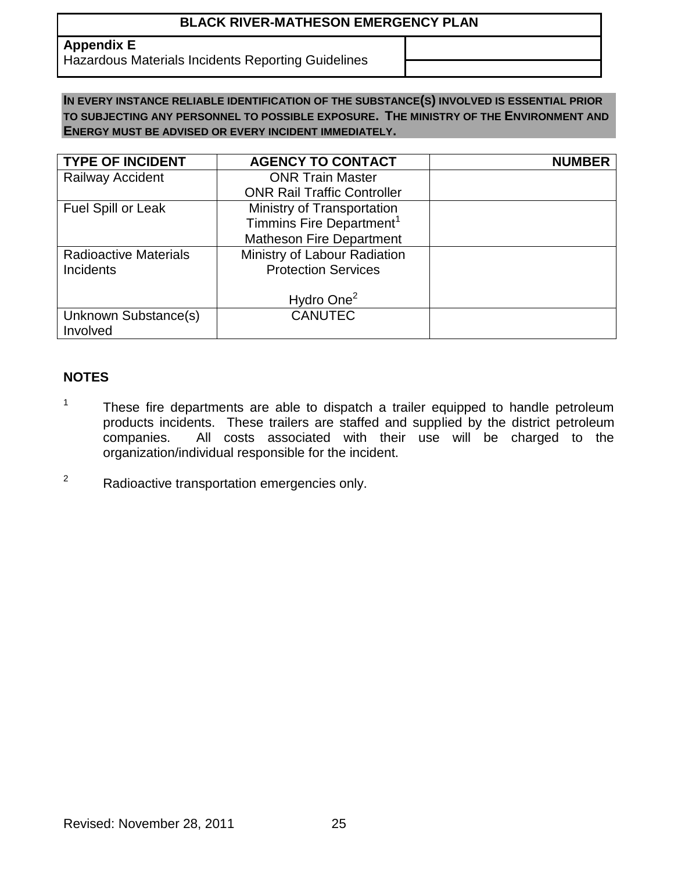**Appendix E**

Hazardous Materials Incidents Reporting Guidelines

## **IN EVERY INSTANCE RELIABLE IDENTIFICATION OF THE SUBSTANCE(S) INVOLVED IS ESSENTIAL PRIOR TO SUBJECTING ANY PERSONNEL TO POSSIBLE EXPOSURE. THE MINISTRY OF THE ENVIRONMENT AND ENERGY MUST BE ADVISED OR EVERY INCIDENT IMMEDIATELY.**

| <b>TYPE OF INCIDENT</b>      | <b>AGENCY TO CONTACT</b>             | <b>NUMBER</b> |
|------------------------------|--------------------------------------|---------------|
| <b>Railway Accident</b>      | <b>ONR Train Master</b>              |               |
|                              | <b>ONR Rail Traffic Controller</b>   |               |
| Fuel Spill or Leak           | Ministry of Transportation           |               |
|                              | Timmins Fire Department <sup>1</sup> |               |
|                              | <b>Matheson Fire Department</b>      |               |
| <b>Radioactive Materials</b> | Ministry of Labour Radiation         |               |
| <b>Incidents</b>             | <b>Protection Services</b>           |               |
|                              |                                      |               |
|                              | Hydro One <sup>2</sup>               |               |
| Unknown Substance(s)         | <b>CANUTEC</b>                       |               |
| Involved                     |                                      |               |

# **NOTES**

- 1 These fire departments are able to dispatch a trailer equipped to handle petroleum products incidents. These trailers are staffed and supplied by the district petroleum companies. All costs associated with their use will be charged to the organization/individual responsible for the incident.
- <sup>2</sup> Radioactive transportation emergencies only.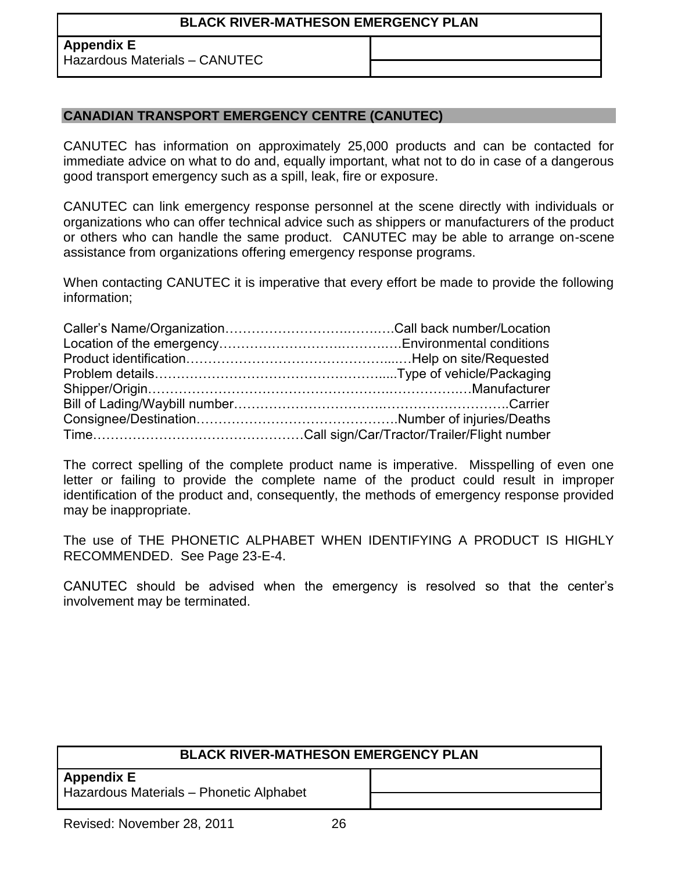## **Appendix E**

Hazardous Materials – CANUTEC

## **CANADIAN TRANSPORT EMERGENCY CENTRE (CANUTEC)**

CANUTEC has information on approximately 25,000 products and can be contacted for immediate advice on what to do and, equally important, what not to do in case of a dangerous good transport emergency such as a spill, leak, fire or exposure.

CANUTEC can link emergency response personnel at the scene directly with individuals or organizations who can offer technical advice such as shippers or manufacturers of the product or others who can handle the same product. CANUTEC may be able to arrange on-scene assistance from organizations offering emergency response programs.

When contacting CANUTEC it is imperative that every effort be made to provide the following information;

The correct spelling of the complete product name is imperative. Misspelling of even one letter or failing to provide the complete name of the product could result in improper identification of the product and, consequently, the methods of emergency response provided may be inappropriate.

The use of THE PHONETIC ALPHABET WHEN IDENTIFYING A PRODUCT IS HIGHLY RECOMMENDED. See Page 23-E-4.

CANUTEC should be advised when the emergency is resolved so that the center's involvement may be terminated.

| <b>BLACK RIVER-MATHESON EMERGENCY PLAN</b>                   |  |  |  |
|--------------------------------------------------------------|--|--|--|
| <b>Appendix E</b><br>Hazardous Materials - Phonetic Alphabet |  |  |  |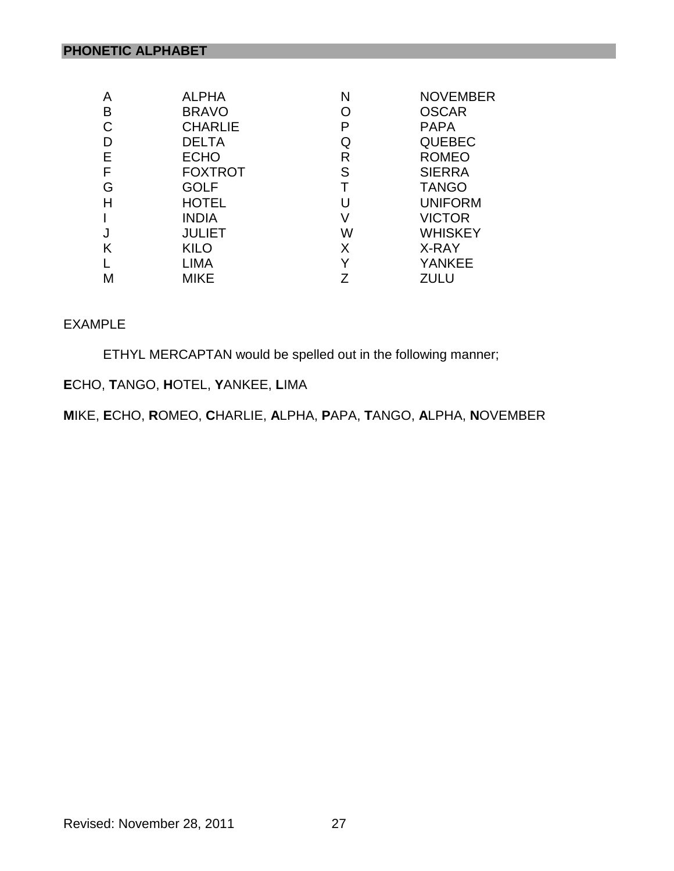| A | <b>ALPHA</b>   | N | <b>NOVEMBER</b> |
|---|----------------|---|-----------------|
| Β | <b>BRAVO</b>   | Ő | <b>OSCAR</b>    |
| C | <b>CHARLIE</b> | P | <b>PAPA</b>     |
| D | <b>DELTA</b>   | Q | <b>QUEBEC</b>   |
| Е | <b>ECHO</b>    | R | <b>ROMEO</b>    |
| F | <b>FOXTROT</b> | S | <b>SIERRA</b>   |
| G | <b>GOLF</b>    | T | <b>TANGO</b>    |
| н | <b>HOTEL</b>   | U | <b>UNIFORM</b>  |
|   | <b>INDIA</b>   | V | <b>VICTOR</b>   |
|   | <b>JULIET</b>  | W | <b>WHISKEY</b>  |
| Κ | <b>KILO</b>    | X | X-RAY           |
|   | <b>LIMA</b>    | Y | <b>YANKEE</b>   |
| M | MIKE           | 7 | ZULU            |

## EXAMPLE

ETHYL MERCAPTAN would be spelled out in the following manner;

# **E**CHO, **T**ANGO, **H**OTEL, **Y**ANKEE, **L**IMA

**M**IKE, **E**CHO, **R**OMEO, **C**HARLIE, **A**LPHA, **P**APA, **T**ANGO, **A**LPHA, **N**OVEMBER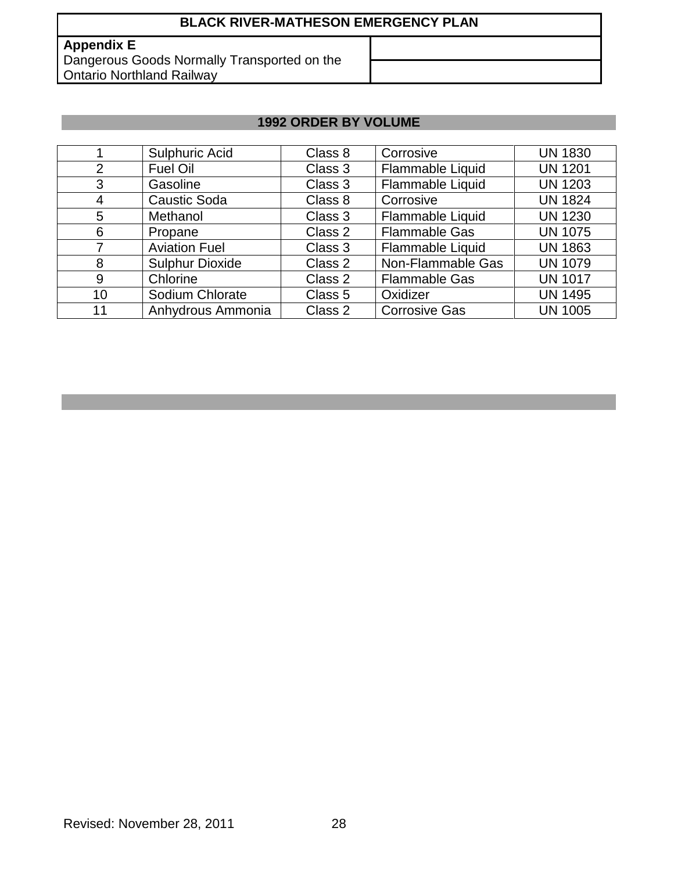## **Appendix E**

Dangerous Goods Normally Transported on the **Ontario Northland Railway** 

# **1992 ORDER BY VOLUME**

|    | Sulphuric Acid         | Class 8 | Corrosive               | <b>UN 1830</b> |
|----|------------------------|---------|-------------------------|----------------|
| 2  | <b>Fuel Oil</b>        | Class 3 | Flammable Liquid        | <b>UN 1201</b> |
| 3  | Gasoline               | Class 3 | Flammable Liquid        | <b>UN 1203</b> |
| 4  | <b>Caustic Soda</b>    | Class 8 | Corrosive               | <b>UN 1824</b> |
| 5  | Methanol               | Class 3 | Flammable Liquid        | <b>UN 1230</b> |
| 6  | Propane                | Class 2 | <b>Flammable Gas</b>    | <b>UN 1075</b> |
|    | <b>Aviation Fuel</b>   | Class 3 | <b>Flammable Liquid</b> | <b>UN 1863</b> |
| 8  | <b>Sulphur Dioxide</b> | Class 2 | Non-Flammable Gas       | <b>UN 1079</b> |
| 9  | Chlorine               | Class 2 | <b>Flammable Gas</b>    | <b>UN 1017</b> |
| 10 | Sodium Chlorate        | Class 5 | Oxidizer                | <b>UN 1495</b> |
| 11 | Anhydrous Ammonia      | Class 2 | <b>Corrosive Gas</b>    | <b>UN 1005</b> |